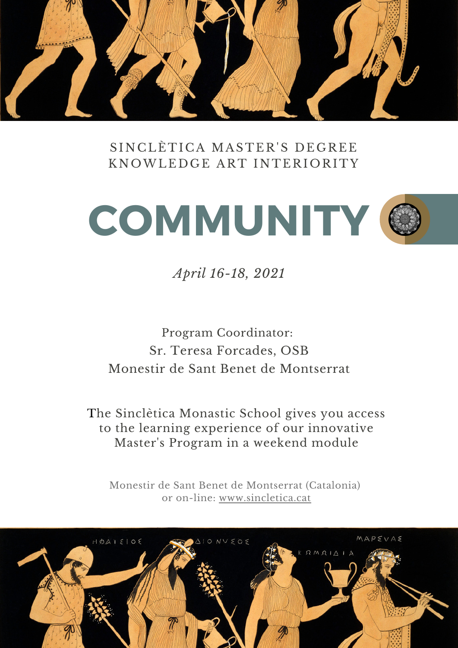

### SINCLÈTICA MASTER'S DEGREE KNOWLEDGE ART INTERIORITY



*April 16-18, 2021*

## Program Coordinator: Sr. Teresa Forcades, OSB Monestir de Sant Benet de Montserrat

The Sinclètica Monastic School gives you access to the learning experience of our innovative Master's Program in a weekend module

Monestir de Sant Benet de Montserrat (Catalonia) or on-lin[e:](https://www.sincletica.cat/) [www.sincletica.cat](https://www.sincletica.cat/)

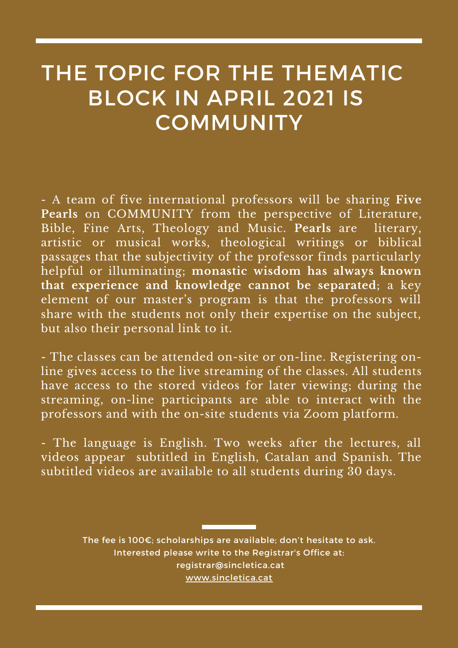# THE TOPIC FOR THE THEMATIC BLOCK IN APRIL 2021 IS **COMMUNITY**

- A team of five international professors will be sharing **Five Pearls** on COMMUNITY from the perspective of Literature, Bible, Fine Arts, Theology and Music. **Pearls** are literary, artistic or musical works, theological writings or biblical passages that the subjectivity of the professor finds particularly helpful or illuminating; **monastic wisdom has always known that experience and knowledge cannot be separated**; a key element of our master's program is that the professors will share with the students not only their expertise on the subject, but also their personal link to it.

- The classes can be attended on-site or on-line. Registering online gives access to the live streaming of the classes. All students have access to the stored videos for later viewing; during the streaming, on-line participants are able to interact with the professors and with the on-site students via Zoom platform.

- The language is English. Two weeks after the lectures, all videos appear subtitled in English, Catalan and Spanish. The subtitled videos are available to all students during 30 days.

> The fee is 100€; scholarships are available; don't hesitate to ask. Interested please write to the Registrar's Office at: [registrar@sincletica.cat](http://sincletica.cat/) [www.sincletica.cat](https://www.sincletica.cat/)